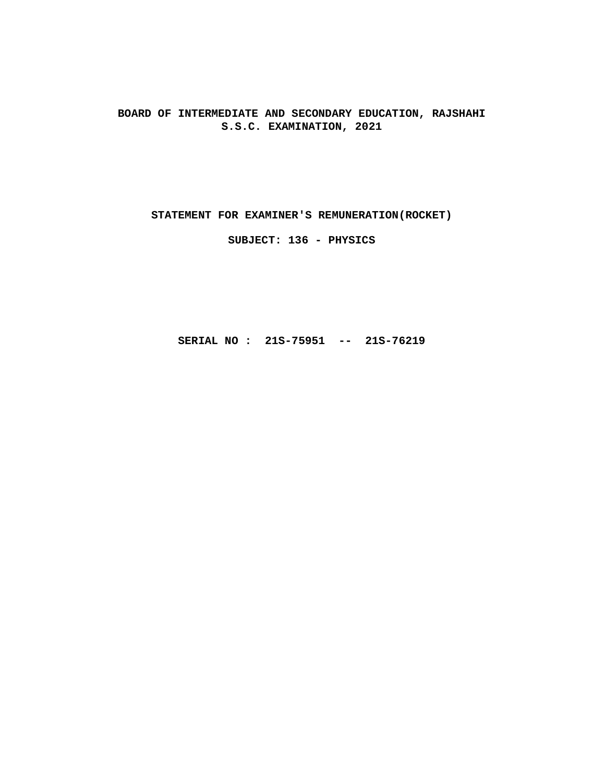**BOARD OF INTERMEDIATE AND SECONDARY EDUCATION, RAJSHAHI S.S.C. EXAMINATION, 2021**

**STATEMENT FOR EXAMINER'S REMUNERATION(ROCKET)**

**SUBJECT: 136 - PHYSICS**

**SERIAL NO : 21S-75951 -- 21S-76219**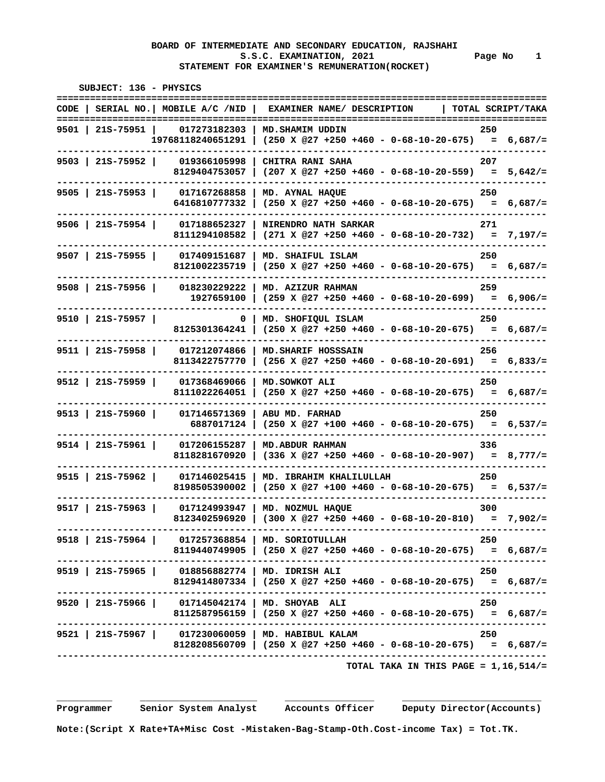**======================================================================================== CODE | SERIAL NO.| MOBILE A/C /NID | EXAMINER NAME/ DESCRIPTION | TOTAL SCRIPT/TAKA**

 **SUBJECT: 136 - PHYSICS** 

 **======================================================================================== 9501 | 21S-75951 | 017273182303 | MD.SHAMIM UDDIN 250 19768118240651291 | (250 X @27 +250 +460 - 0-68-10-20-675) = 6,687/= ---------------------------------------------------------------------------------------- 9503 | 21S-75952 | 019366105998 | CHITRA RANI SAHA 207 8129404753057 | (207 X @27 +250 +460 - 0-68-10-20-559) = 5,642/= ---------------------------------------------------------------------------------------- 9505 | 21S-75953 | 017167268858 | MD. AYNAL HAQUE 250 6416810777332 | (250 X @27 +250 +460 - 0-68-10-20-675) = 6,687/= ---------------------------------------------------------------------------------------- 9506 | 21S-75954 | 017188652327 | NIRENDRO NATH SARKAR 271 8111294108582 | (271 X @27 +250 +460 - 0-68-10-20-732) = 7,197/= ---------------------------------------------------------------------------------------- 9507 | 21S-75955 | 017409151687 | MD. SHAIFUL ISLAM 250 8121002235719 | (250 X @27 +250 +460 - 0-68-10-20-675) = 6,687/= ---------------------------------------------------------------------------------------- 9508 | 21S-75956 | 018230229222 | MD. AZIZUR RAHMAN 259 1927659100 | (259 X @27 +250 +460 - 0-68-10-20-699) = 6,906/= ---------------------------------------------------------------------------------------- 9510 | 21S-75957 | 0 | MD. SHOFIQUL ISLAM 250 8125301364241 | (250 X @27 +250 +460 - 0-68-10-20-675) = 6,687/= ---------------------------------------------------------------------------------------- 9511 | 21S-75958 | 017212074866 | MD.SHARIF HOSSSAIN 256 8113422757770 | (256 X @27 +250 +460 - 0-68-10-20-691) = 6,833/= ---------------------------------------------------------------------------------------- 9512 | 21S-75959 | 017368469066 | MD.SOWKOT ALI 250 8111022264051 | (250 X @27 +250 +460 - 0-68-10-20-675) = 6,687/= ---------------------------------------------------------------------------------------- 9513 | 21S-75960 | 017146571369 | ABU MD. FARHAD 250 6887017124 | (250 X @27 +100 +460 - 0-68-10-20-675) = 6,537/= ---------------------------------------------------------------------------------------- 9514 | 21S-75961 | 017206155287 | MD.ABDUR RAHMAN 336 8118281670920 | (336 X @27 +250 +460 - 0-68-10-20-907) = 8,777/= ---------------------------------------------------------------------------------------- 9515 | 21S-75962 | 017146025415 | MD. IBRAHIM KHALILULLAH 250 8198505390002 | (250 X @27 +100 +460 - 0-68-10-20-675) = 6,537/= ---------------------------------------------------------------------------------------- 9517 | 21S-75963 | 017124993947 | MD. NOZMUL HAQUE 300 8123402596920 | (300 X @27 +250 +460 - 0-68-10-20-810) = 7,902/= ---------------------------------------------------------------------------------------- 9518 | 21S-75964 | 017257368854 | MD. SORIOTULLAH 250 8119440749905 | (250 X @27 +250 +460 - 0-68-10-20-675) = 6,687/= ---------------------------------------------------------------------------------------- 9519 | 21S-75965 | 018856882774 | MD. IDRISH ALI 250 8129414807334 | (250 X @27 +250 +460 - 0-68-10-20-675) = 6,687/= ---------------------------------------------------------------------------------------- 9520 | 21S-75966 | 017145042174 | MD. SHOYAB ALI 250 8112587956159 | (250 X @27 +250 +460 - 0-68-10-20-675) = 6,687/= ---------------------------------------------------------------------------------------- 9521 | 21S-75967 | 017230060059 | MD. HABIBUL KALAM 250** 

 **---------------------------------------------------------------------------------------- TOTAL TAKA IN THIS PAGE = 1,16,514/=**

 **Programmer Senior System Analyst Accounts Officer Deputy Director(Accounts)** 

 **8128208560709 | (250 X @27 +250 +460 - 0-68-10-20-675) = 6,687/=**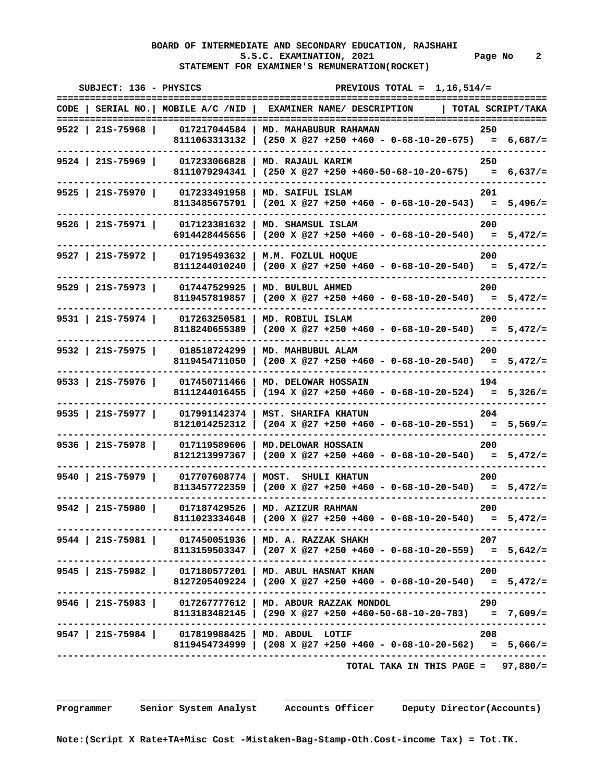# **BOARD OF INTERMEDIATE AND SECONDARY EDUCATION, RAJSHAHI**  S.S.C. EXAMINATION, 2021 **Page No** 2  **STATEMENT FOR EXAMINER'S REMUNERATION(ROCKET)**

| SUBJECT: 136 - PHYSICS |                           | PREVIOUS TOTAL = $1.16.514/-$                                                                                                    |       |
|------------------------|---------------------------|----------------------------------------------------------------------------------------------------------------------------------|-------|
|                        |                           | CODE   SERIAL NO.   MOBILE A/C /NID   EXAMINER NAME/ DESCRIPTION   TOTAL SCRIPT/TAKA                                             |       |
| 9522   21S-75968       |                           | 017217044584   MD. MAHABUBUR RAHAMAN<br>250<br>8111063313132   (250 X @27 +250 +460 - 0-68-10-20-675) = 6,687/=                  |       |
| $9524$   215-75969     | 017233066828 1            | MD. RAJAUL KARIM<br>8111079294341   (250 X @27 +250 +460-50-68-10-20-675) = $6,637/=$                                            | 250   |
| 9525 215-75970         |                           | 017233491958   MD. SAIFUL ISLAM<br>8113485675791   $(201 \t{X} @27 +250 +460 - 0-68-10-20-543) = 5,496/=$                        | 201   |
|                        |                           | 9526   21S-75971   017123381632   MD. SHAMSUL ISLAM<br>6914428445656   (200 X @27 +250 +460 - 0-68-10-20-540) = $5,472/$ =       | 200   |
| $9527$   215-75972     |                           | 017195493632   M.M. FOZLUL HOQUE<br>8111244010240   (200 X @27 +250 +460 - 0-68-10-20-540) = $5,472/$ =                          | 200   |
| $9529$   215-75973     |                           | 017447529925   MD. BULBUL AHMED<br>8119457819857   $(200 \times @27 +250 +460 - 0-68-10-20-540) = 5,472/=$                       | 200   |
| $9531$   21S-75974     |                           | 017263250581   MD. ROBIUL ISLAM<br>8118240655389   (200 X @27 +250 +460 - 0-68-10-20-540) = $5,472/$ =                           | 200   |
| $9532$   21S-75975     | 018518724299              | MD. MAHBUBUL ALAM<br>8119454711050   (200 X @27 +250 +460 - 0-68-10-20-540) = $5,472/$ =                                         | 200   |
| $9533$   215-75976     |                           | 017450711466   MD. DELOWAR HOSSAIN<br>8111244016455   (194 X @27 +250 +460 - 0-68-10-20-524) = 5,326/=                           | 194   |
| $9535$   21S-75977     |                           | 017991142374   MST. SHARIFA KHATUN<br>8121014252312   $(204 \times @27 +250 +460 - 0-68-10-20-551) = 5,569/=$                    | 204   |
| 9536   21S-75978       | 017119589606              | <b>MD.DELOWAR HOSSAIN</b><br>8121213997367   (200 X @27 +250 +460 - 0-68-10-20-540) = $5,472/=$                                  | 200   |
| $9540$   215-75979     |                           | 017707608774   MOST. SHULI KHATUN<br>8113457722359   (200 X @27 +250 +460 - 0-68-10-20-540) = $5,472/$ =                         | 200   |
| $9542$   215-75980     |                           | 017187429526   MD. AZIZUR RAHMAN<br>8111023334648   (200 X @27 +250 +460 - 0-68-10-20-540) = $5,472/=$                           | 200   |
|                        |                           | 9544   21S-75981   017450051936   MD. A. RAZZAK SHAKH<br>8113159503347   $(207 \times @27 +250 +460 - 0-68-10-20-559) = 5,642/=$ | - 207 |
|                        |                           | 9545   21S-75982   017180577201   MD. ABUL HASNAT KHAN<br>8127205409224   (200 X @27 +250 +460 - 0-68-10-20-540) = 5,472/=       | 200   |
|                        |                           | 9546   21S-75983   017267777612   MD. ABDUR RAZZAK MONDOL<br>8113183482145   (290 X @27 +250 +460-50-68-10-20-783) = 7,609/=     | 290   |
|                        |                           | 9547   21S-75984   017819988425   MD. ABDUL LOTIF<br>8119454734999   (208 X @27 +250 +460 - 0-68-10-20-562) = 5,666/=            | 208   |
|                        | ------------------------- | TOTAL TAKA IN THIS PAGE = $97,880/$ =                                                                                            |       |

 **Programmer Senior System Analyst Accounts Officer Deputy Director(Accounts)**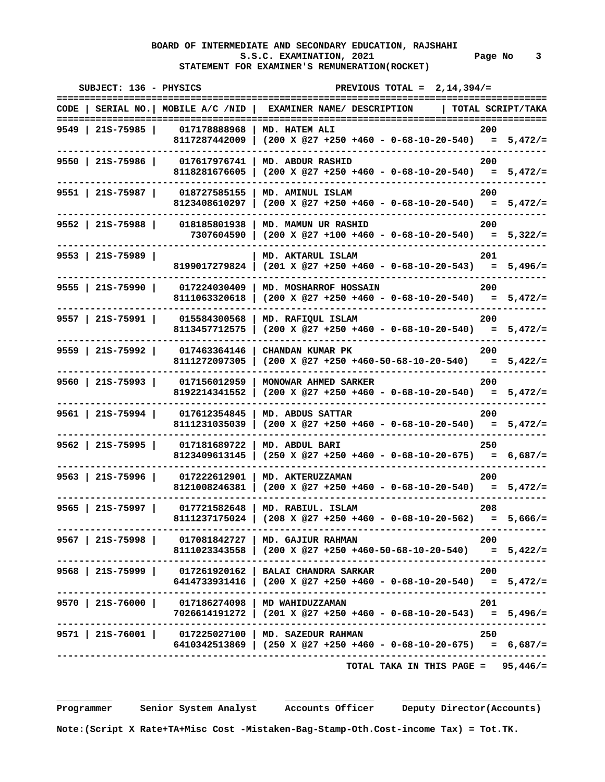# **BOARD OF INTERMEDIATE AND SECONDARY EDUCATION, RAJSHAHI**  S.S.C. EXAMINATION, 2021 Page No 3  **STATEMENT FOR EXAMINER'S REMUNERATION(ROCKET)**

| PREVIOUS TOTAL = $2,14,394/$ =<br>.===========                                                                       | SUBJECT: 136 - PHYSICS                                                        |
|----------------------------------------------------------------------------------------------------------------------|-------------------------------------------------------------------------------|
| CODE   SERIAL NO.   MOBILE A/C /NID   EXAMINER NAME/ DESCRIPTION   TOTAL SCRIPT/TAKA                                 |                                                                               |
| 200<br>8117287442009   (200 X @27 +250 +460 - 0-68-10-20-540) = $5,472/=$                                            | 9549   21S-75985  <br>017178888968   MD. HATEM ALI                            |
| 200<br>MD. ABDUR RASHID<br>8118281676605   (200 X @27 +250 +460 - 0-68-10-20-540) = $5,472/$ =                       | $9550$   21S-75986  <br>017617976741                                          |
| 200<br>8123408610297   $(200 \t{X} @27 +250 +460 - 0-68-10-20-540) = 5,472/=$                                        | 9551   21S-75987   018727585155   MD. AMINUL ISLAM                            |
| 200<br>7307604590   (200 X @27 +100 +460 - 0-68-10-20-540) = 5,322/=                                                 | 9552   21S-75988   018185801938   MD. MAMUN UR RASHID                         |
| 201<br>  MD. AKTARUL ISLAM<br>8199017279824   (201 X @27 +250 +460 - 0-68-10-20-543) = $5,496/$ =                    | $9553$   21S-75989                                                            |
| 017224030409   MD. MOSHARROF HOSSAIN<br>200<br>8111063320618   (200 X @27 +250 +460 - 0-68-10-20-540) = $5,472/$ =   | 9555   21s-75990                                                              |
| 015584300568   MD. RAFIQUL ISLAM<br>200<br>8113457712575   (200 X @27 +250 +460 - 0-68-10-20-540) = $5,472/=$        | $9557$   215-75991                                                            |
| 017463364146   CHANDAN KUMAR PK<br>200<br>8111272097305   $(200 \t{X} @27 +250 +460-50-68-10-20-540) = 5,422/=$      | $9559$   21S-75992                                                            |
| 017156012959   MONOWAR AHMED SARKER<br>200<br>8192214341552   $(200 \t{X} @27 +250 +460 - 0-68-10-20-540) = 5,472/=$ | $9560$   21S-75993                                                            |
| 017612354845   MD. ABDUS SATTAR<br>200<br>8111231035039   $(200 \times @27 +250 +460 - 0-68-10-20-540) = 5,472/=$    | $9561$   21S-75994                                                            |
| 250<br>8123409613145   (250 X @27 +250 +460 - 0-68-10-20-675) = $6,687/=$                                            | 9562   21S-75995  <br>017181689722   MD. ABDUL BARI                           |
| 017222612901   MD. AKTERUZZAMAN<br>200<br>8121008246381   (200 X @27 +250 +460 - 0-68-10-20-540) = $5,472/$ =        | $9563$   21S-75996                                                            |
| 017721582648   MD. RABIUL. ISLAM<br>208<br>8111237175024   (208 X @27 +250 +460 - 0-68-10-20-562) = $5,666/$ =       | $9565$   21S-75997                                                            |
| 200<br>8111023343558   (200 X @27 +250 +460-50-68-10-20-540) = 5,422/=                                               | 9567   21S-75998   017081842727   MD. GAJIUR RAHMAN                           |
| 200<br>$6414733931416$ (200 X @27 +250 +460 - 0-68-10-20-540) = 5,472/=                                              | 9568   21S-75999   017261920162   BALAI CHANDRA SARKAR                        |
| 201<br>7026614191272   (201 X @27 +250 +460 - 0-68-10-20-543) = 5,496/=                                              | 9570   21S-76000   017186274098   MD WAHIDUZZAMAN                             |
| 250<br>$6410342513869$   (250 X @27 +250 +460 - 0-68-10-20-675) = 6,687/=                                            | ---------------------<br>9571   21S-76001   017225027100   MD. SAZEDUR RAHMAN |
| TOTAL TAKA IN THIS PAGE = $95,446/$ =                                                                                |                                                                               |

 **\_\_\_\_\_\_\_\_\_\_ \_\_\_\_\_\_\_\_\_\_\_\_\_\_\_\_\_\_\_\_\_ \_\_\_\_\_\_\_\_\_\_\_\_\_\_\_\_ \_\_\_\_\_\_\_\_\_\_\_\_\_\_\_\_\_\_\_\_\_\_\_\_\_** 

 **Programmer Senior System Analyst Accounts Officer Deputy Director(Accounts)**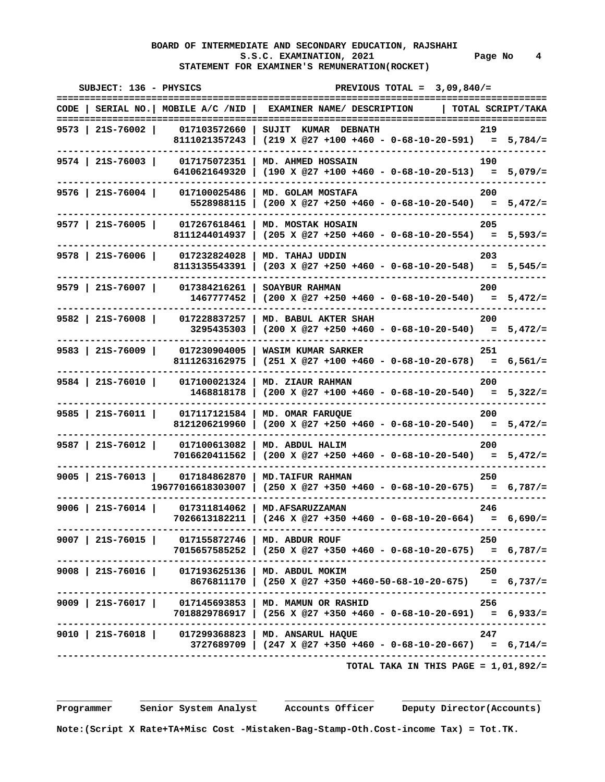# **BOARD OF INTERMEDIATE AND SECONDARY EDUCATION, RAJSHAHI**  S.S.C. EXAMINATION, 2021 Page No 4  **STATEMENT FOR EXAMINER'S REMUNERATION(ROCKET)**

| SUBJECT: 136 - PHYSICS |                                                   | PREVIOUS TOTAL = $3,09,840/$ =                                                                                                                               |                   |
|------------------------|---------------------------------------------------|--------------------------------------------------------------------------------------------------------------------------------------------------------------|-------------------|
|                        |                                                   | CODE   SERIAL NO.  MOBILE A/C /NID   EXAMINER NAME/ DESCRIPTION                                                                                              | TOTAL SCRIPT/TAKA |
| 9573   21S-76002       | 017103572660  <br>8111021357243                   | SUJIT KUMAR DEBNATH<br>$(219 \t X \t @27 +100 +460 - 0-68-10-20-591) = 5,784/=$                                                                              | 219               |
| $9574$   21S-76003     | 017175072351<br>6410621649320                     | MD. AHMED HOSSAIN<br>$(190 \t X \t 27 + 100 + 460 - 0 - 68 - 10 - 20 - 513) = 5,079/=$                                                                       | 190               |
| $9576$   21S-76004     | 017100025486<br>5528988115                        | MD. GOLAM MOSTAFA<br>$(200 \t X \t @27 +250 +460 - 0-68-10-20-540) = 5,472/=$                                                                                | 200               |
| $9577$   21S-76005     | 017267618461<br>8111244014937                     | MD. MOSTAK HOSAIN<br>$(205 \t X \t 27 + 250 + 460 - 0 - 68 - 10 - 20 - 554) = 5,593/z$                                                                       | 205               |
| $9578$   21S-76006     | 017232824028<br>8113135543391                     | MD. TAHAJ UDDIN<br>$(203 \t X \t 27 + 250 + 460 - 0 - 68 - 10 - 20 - 548) = 5,545/=$                                                                         | 203               |
| $9579$   21S-76007     | 017384216261<br>1467777452                        | SOAYBUR RAHMAN<br>$(200 \t X \t 27 + 250 + 460 - 0 - 68 - 10 - 20 - 540) = 5,472/=$                                                                          | 200               |
| $9582$   215-76008     | 017228837257<br>3295435303                        | MD. BABUL AKTER SHAH<br>$(200 \t X \t 27 + 250 + 460 - 0 - 68 - 10 - 20 - 540) = 5,472/=$                                                                    | 200               |
| $9583$   21S-76009     | 017230904005<br>8111263162975                     | WASIM KUMAR SARKER<br>$(251 \t X \t 27 + 100 + 460 - 0 - 68 - 10 - 20 - 678) = 6,561/z$                                                                      | 251               |
| $9584$   21S-76010     | 017100021324<br>1468818178                        | MD. ZIAUR RAHMAN<br>$(200 \t X \t 27 + 100 + 460 - 0 - 68 - 10 - 20 - 540) = 5,322/-$                                                                        | 200               |
| $9585$   21S-76011     | 017117121584<br>8121206219960                     | MD. OMAR FARUQUE<br>$(200 \t X \t 27 + 250 + 460 - 0 - 68 - 10 - 20 - 540) = 5,472/=$                                                                        | 200               |
| $9587$   21S-76012     | 017100613082<br>7016620411562                     | MD. ABDUL HALIM<br>$(200 \t X \t 27 + 250 + 460 - 0 - 68 - 10 - 20 - 540) = 5,472/=$                                                                         | 200               |
| $9005$   21S-76013     | 017184862870<br>19677016618303007                 | MD. TAIFUR RAHMAN<br>$(250 \t X \t 27 +350 +460 - 0-68-10-20-675) = 6,787/=$                                                                                 | 250               |
| $9006$   21s-76014     | 017311814062<br>7026613182211                     | MD. AFSARUZZAMAN<br>$(246 \t X \t @27 +350 +460 - 0-68-10-20-664)$                                                                                           | 246<br>$= 6,690/$ |
|                        | 9007   21S-76015   017155872746   MD. ABDUR ROUF  | $7015657585252$   $(250 \t{X} @27 +350 +460 - 0-68-10-20-675) = 6,787/=$                                                                                     | 250               |
|                        | 9008   21S-76016   017193625136   MD. ABDUL MOKIM | -------------------------------------<br>8676811170   (250 X @27 +350 +460-50-68-10-20-675) = 6,737/=                                                        | 250               |
|                        |                                                   | -------------------------------<br>9009   215-76017   017145693853   MD. MAMUN OR RASHID<br>7018829786917   (256 X @27 +350 +460 - 0-68-10-20-691) = 6,933/= | 256               |
|                        |                                                   | 9010   215-76018   017299368823   MD. ANSARUL HAQUE<br>$3727689709$ $(247 \t{X} @27 +350 +460 - 0-68-10-20-667) = 6,714/z$                                   | 247               |
|                        |                                                   | TOTAL TAKA IN THIS PAGE = $1,01,892/=$                                                                                                                       |                   |

 **Programmer Senior System Analyst Accounts Officer Deputy Director(Accounts)**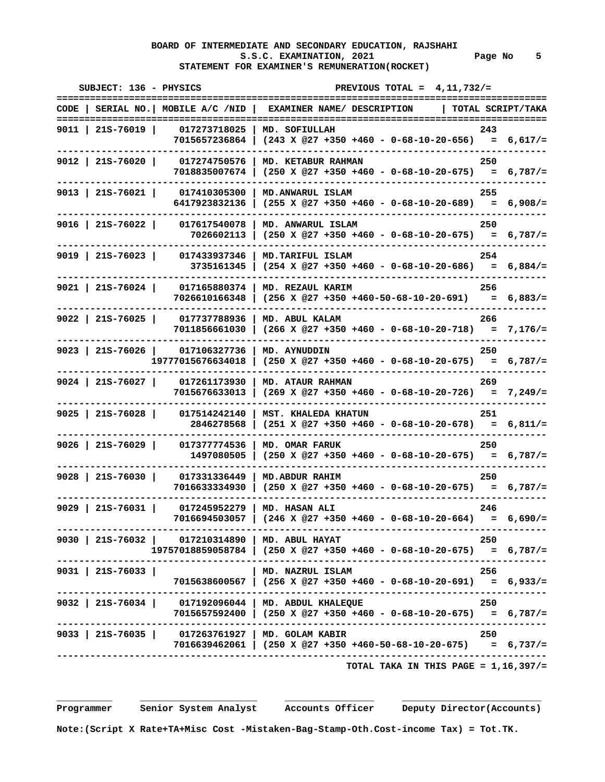# **BOARD OF INTERMEDIATE AND SECONDARY EDUCATION, RAJSHAHI**  S.S.C. EXAMINATION, 2021 **Page No** 5  **STATEMENT FOR EXAMINER'S REMUNERATION(ROCKET)**

| SUBJECT: 136 - PHYSICS                                                  | PREVIOUS TOTAL = $4,11,732/$ =<br>============                                                                    |
|-------------------------------------------------------------------------|-------------------------------------------------------------------------------------------------------------------|
|                                                                         | CODE   SERIAL NO.   MOBILE A/C /NID   EXAMINER NAME/ DESCRIPTION   TOTAL SCRIPT/TAKA                              |
| 9011   21S-76019                                                        | 017273718025   MD. SOFIULLAH<br>243<br>7015657236864   (243 X @27 +350 +460 - 0-68-10-20-656) = 6,617/=           |
| 9012   21S-76020                                                        | 017274750576   MD. KETABUR RAHMAN<br>250<br>7018835007674   (250 X @27 +350 +460 - 0-68-10-20-675) = 6,787/=      |
| 9013   21S-76021   017410305300   MD.ANWARUL ISLAM                      | 255<br>6417923832136   (255 X @27 +350 +460 - 0-68-10-20-689) = 6,908/=                                           |
| 9016   21S-76022   017617540078   MD. ANWARUL ISLAM                     | 250<br>7026602113   $(250 \times 027 + 350 + 460 - 0 - 68 - 10 - 20 - 675) = 6,787/=$                             |
| $9019$   215-76023                                                      | 017433937346   MD. TARIFUL ISLAM<br>254<br>3735161345   $(254 \times @27 +350 +460 - 0-68-10-20-686) = 6,884/=$   |
| $9021$   21S-76024                                                      | 017165880374   MD. REZAUL KARIM<br>256<br>$7026610166348$   $(256 \t{X} @27 +350 +460-50-68-10-20-691) = 6,883/z$ |
| 9022   21S-76025   017737788936   MD. ABUL KALAM                        | 266<br>7011856661030   (266 X @27 +350 +460 - 0-68-10-20-718) = 7,176/=                                           |
| 9023   21S-76026   017106327736   MD. AYNUDDIN                          | 250<br>$19777015676634018$   (250 X @27 +350 +460 - 0-68-10-20-675) = 6,787/=                                     |
| 9024   21S-76027   017261173930   MD. ATAUR RAHMAN                      | 269<br>$7015676633013$ (269 X @27 +350 +460 - 0-68-10-20-726) = 7,249/=                                           |
| $9025$   21S-76028                                                      | 017514242140   MST. KHALEDA KHATUN<br>251<br>$2846278568$ (251 X @27 +350 +460 - 0-68-10-20-678) = 6,811/=        |
| $9026$   21S-76029  <br>017377774536                                    | MD. OMAR FARUK<br>250<br>$1497080505$   (250 X @27 +350 +460 - 0-68-10-20-675) = 6,787/=                          |
| $9028$   215-76030                                                      | 017331336449   MD.ABDUR RAHIM<br>250<br>7016633334930   (250 X @27 +350 +460 - 0-68-10-20-675) = 6,787/=          |
| $9029$   215-76031                                                      | 017245952279   MD. HASAN ALI<br>246<br>7016694503057   (246 X @27 +350 +460 - 0-68-10-20-664) = 6,690/=           |
| 9030   21S-76032   017210314890   MD. ABUL HAYAT                        | 250<br>$19757018859058784$   (250 X @27 +350 +460 - 0-68-10-20-675) = 6,787/=                                     |
| $9031$   215-76033                                                      | MD. NAZRUL ISLAM<br>256<br>7015638600567   (256 X @27 +350 +460 - 0-68-10-20-691) = 6,933/=                       |
| 9032   21S-76034   017192096044   MD. ABDUL KHALEQUE                    | 250<br>$7015657592400$ (250 X @27 +350 +460 - 0-68-10-20-675) = 6,787/=                                           |
| ------------------<br>9033   21S-76035   017263761927   MD. GOLAM KABIR | ----------------------<br>250<br>7016639462061   (250 X @27 +350 +460-50-68-10-20-675) = 6,737/=                  |
|                                                                         | TOTAL TAKA IN THIS PAGE = $1,16,397/=$                                                                            |

 **\_\_\_\_\_\_\_\_\_\_ \_\_\_\_\_\_\_\_\_\_\_\_\_\_\_\_\_\_\_\_\_ \_\_\_\_\_\_\_\_\_\_\_\_\_\_\_\_ \_\_\_\_\_\_\_\_\_\_\_\_\_\_\_\_\_\_\_\_\_\_\_\_\_** 

 **Programmer Senior System Analyst Accounts Officer Deputy Director(Accounts)** 

 **Note:(Script X Rate+TA+Misc Cost -Mistaken-Bag-Stamp-Oth.Cost-income Tax) = Tot.TK.**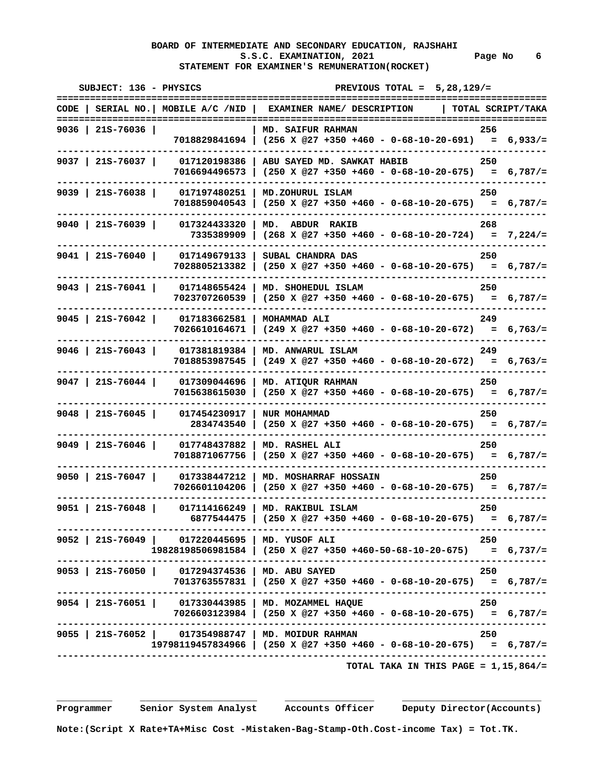# **BOARD OF INTERMEDIATE AND SECONDARY EDUCATION, RAJSHAHI**  S.S.C. EXAMINATION, 2021 **Page No** 6  **STATEMENT FOR EXAMINER'S REMUNERATION(ROCKET)**

| SUBJECT: 136 - PHYSICS |                                                 | PREVIOUS TOTAL = $5,28,129/$ =                                                                                              |       |
|------------------------|-------------------------------------------------|-----------------------------------------------------------------------------------------------------------------------------|-------|
|                        |                                                 | CODE   SERIAL NO.   MOBILE A/C /NID   EXAMINER NAME/ DESCRIPTION   TOTAL SCRIPT/TAKA                                        |       |
| $9036$   215-76036     |                                                 | MD. SAIFUR RAHMAN<br>7018829841694   (256 X @27 +350 +460 - 0-68-10-20-691) = 6,933/=                                       | - 256 |
| 9037   21S-76037       |                                                 | $017120198386$   ABU SAYED MD. SAWKAT HABIB<br>$7016694496573$ (250 X @27 +350 +460 - 0-68-10-20-675) = 6,787/=             | 250   |
| $9039$   215-76038     |                                                 | 017197480251   MD.ZOHURUL ISLAM<br>7018859040543   $(250 \times @27 +350 +460 - 0-68-10-20-675) = 6,787/=$                  | 250   |
|                        |                                                 | 9040   21S-76039   017324433320   MD. ABDUR RAKIB<br>7335389909   $(268 \times @27 +350 +460 - 0-68-10-20-724) = 7,224/=$   | 268   |
| $9041$   21S-76040     |                                                 | 017149679133   SUBAL CHANDRA DAS<br>7028805213382   (250 X @27 +350 +460 - 0-68-10-20-675) = 6,787/=                        | 250   |
| $9043$   21S-76041     |                                                 | 017148655424   MD. SHOHEDUL ISLAM<br>$7023707260539$ (250 X @27 +350 +460 - 0-68-10-20-675) = 6,787/=                       | 250   |
| $9045$   21S-76042     | 017183662581   MOHAMMAD ALI                     | $7026610164671$ (249 X @27 +350 +460 - 0-68-10-20-672) = 6,763/=                                                            | 249   |
| $9046$   21S-76043     |                                                 | 017381819384   MD. ANWARUL ISLAM<br>7018853987545   (249 X @27 +350 +460 - 0-68-10-20-672) = 6,763/=                        | 249   |
| 9047   21S-76044       |                                                 | 017309044696   MD. ATIQUR RAHMAN<br>$7015638615030$   $(250 \t{X} @27 +350 +460 - 0-68-10-20-675) = 6,787/=$                | 250   |
|                        | 9048   21S-76045   017454230917   NUR MOHAMMAD  | $2834743540$ (250 X @27 +350 +460 - 0-68-10-20-675) = 6,787/=                                                               | 250   |
| $9049$   21S-76046     |                                                 | 017748437882   MD. RASHEL ALI<br>7018871067756   (250 X @27 +350 +460 - 0-68-10-20-675) = 6,787/=                           | 250   |
|                        |                                                 | 9050   215-76047   017338447212   MD. MOSHARRAF HOSSAIN<br>$7026601104206$ (250 X @27 +350 +460 - 0-68-10-20-675) = 6,787/= | 250   |
| 9051 21S-76048         |                                                 | 017114166249   MD. RAKIBUL ISLAM<br>6877544475   $(250 \t{X} @27 +350 +460 - 0-68-10-20-675) = 6,787/=$                     | 250   |
|                        | 9052 215-76049 017220445695 MD. YUSOF ALI       | $19828198506981584$   $(250 \t{X} @27 +350 +460-50-68-10-20-675) = 6,737/=$                                                 | 250   |
|                        | 9053   21S-76050   017294374536   MD. ABU SAYED | 7013763557831   (250 X @27 +350 +460 - 0-68-10-20-675) = 6,787/=                                                            | 250   |
|                        |                                                 | 9054   21S-76051   017330443985   MD. MOZAMMEL HAQUE<br>7026603123984   (250 X @27 +350 +460 - 0-68-10-20-675) = 6,787/=    | 250   |
|                        |                                                 | 9055   21S-76052   017354988747   MD. MOIDUR RAHMAN<br>$19798119457834966$ (250 X @27 +350 +460 - 0-68-10-20-675) = 6,787/= | 250   |
|                        |                                                 | ------------------------------------<br>TOTAL TAKA IN THIS PAGE = $1,15,864/$ =                                             |       |

 **Programmer Senior System Analyst Accounts Officer Deputy Director(Accounts)**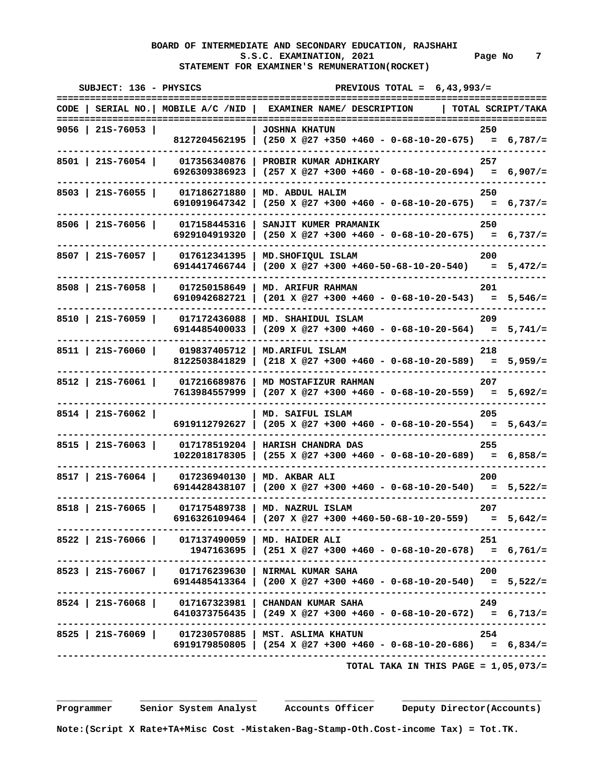# **BOARD OF INTERMEDIATE AND SECONDARY EDUCATION, RAJSHAHI**  S.S.C. EXAMINATION, 2021 **Page No** 7  **STATEMENT FOR EXAMINER'S REMUNERATION(ROCKET)**

| SUBJECT: 136 - PHYSICS<br>=========================              | PREVIOUS TOTAL = $6,43,993/$ =<br>==============<br>=============================        | .==========       |
|------------------------------------------------------------------|------------------------------------------------------------------------------------------|-------------------|
| CODE   SERIAL NO.   MOBILE A/C /NID   EXAMINER NAME/ DESCRIPTION |                                                                                          | TOTAL SCRIPT/TAKA |
| 9056   21S-76053                                                 | <b>JOSHNA KHATUN</b><br>8127204562195   (250 X @27 +350 +460 - 0-68-10-20-675) = 6,787/= | 250               |
| 8501   21S-76054  <br>017356340876<br>6926309386923              | PROBIR KUMAR ADHIKARY<br>$(257 \t X \t 27 +300 +460 - 0 -68 -10 - 20 -694) = 6,907/=$    | 257               |
| 8503   21S-76055  <br>017186271880<br>6910919647342              | MD. ABDUL HALIM<br>$(250 \t X \t 27 +300 +460 - 0 -68 -10 - 20 - 675) = 6,737/=$         | 250               |
| $8506$   21S-76056  <br>017158445316<br>6929104919320            | SANJIT KUMER PRAMANIK<br>$(250 \times @27 +300 +460 - 0-68-10-20-675) = 6,737/=$         | 250               |
| 8507   21S-76057  <br>017612341395<br>6914417466744              | MD. SHOFIQUL ISLAM<br>$(200 \t X \t 27 +300 +460-50-68-10-20-540) = 5,472/=$             | 200               |
| 8508   215-76058  <br>017250158649<br>6910942682721              | MD. ARIFUR RAHMAN<br>$(201 \t X \t @27 +300 +460 - 0-68-10-20-543) = 5,546/=$            | 201               |
| 8510   21S-76059  <br>017172436088<br>6914485400033              | MD. SHAHIDUL ISLAM<br>$(209 \t X \t @27 +300 +460 - 0-68-10-20-564) = 5,741/=$           | 209               |
| 8511   21S-76060  <br>019837405712<br>8122503841829              | MD. ARIFUL ISLAM<br>$(218 \times @27 +300 +460 - 0-68-10-20-589) = 5,959/=$              | 218               |
| $8512$   21S-76061  <br>017216689876<br>7613984557999            | MD MOSTAFIZUR RAHMAN<br>$(207 \times @27 +300 +460 - 0-68-10-20-559) = 5,692/=$          | 207               |
| $8514$   21S-76062  <br>6919112792627                            | MD. SAIFUL ISLAM<br>$(205 \t{X} @27 + 300 + 460 - 0 - 68 - 10 - 20 - 554) = 5,643/=$     | 205               |
| 8515   21S-76063  <br>017178519204<br>1022018178305              | HARISH CHANDRA DAS<br>$(255 \t X \t @27 +300 +460 - 0-68-10-20-689) = 6,858/=$           | 255               |
| $8517$   21S-76064  <br>017236940130<br>6914428438107            | MD. AKBAR ALI<br>$(200 \t X \t 27 + 300 + 460 - 0 - 68 - 10 - 20 - 540) = 5,522/=$       | 200               |
| $8518$   21S-76065  <br>017175489738<br>6916326109464            | MD. NAZRUL ISLAM<br>$(207 \t X \t @27 + 300 + 460 - 50 - 68 - 10 - 20 - 559)$            | 207<br>$= 5.642/$ |
| 8522   21S-76066   017137490059   MD. HAIDER ALI                 | $1947163695$ (251 X @27 +300 +460 - 0-68-10-20-678) = 6,761/=                            | 251               |
| 8523   21S-76067   017176239630   NIRMAL KUMAR SAHA              | $6914485413364$   (200 X @27 +300 +460 - 0-68-10-20-540) = 5,522/=                       | 200               |
| 8524   21S-76068   017167323981   CHANDAN KUMAR SAHA             | 6410373756435   (249 X @27 +300 +460 - 0-68-10-20-672) = 6,713/=                         | 249               |
| 8525   21S-76069   017230570885   MST. ASLIMA KHATUN             | 6919179850805   $(254 \times @27 +300 +460 - 0-68-10-20-686) = 6,834/=$                  | 254               |
|                                                                  | TOTAL TAKA IN THIS PAGE = $1,05,073/$ =                                                  |                   |

 **\_\_\_\_\_\_\_\_\_\_ \_\_\_\_\_\_\_\_\_\_\_\_\_\_\_\_\_\_\_\_\_ \_\_\_\_\_\_\_\_\_\_\_\_\_\_\_\_ \_\_\_\_\_\_\_\_\_\_\_\_\_\_\_\_\_\_\_\_\_\_\_\_\_** 

 **Programmer Senior System Analyst Accounts Officer Deputy Director(Accounts)**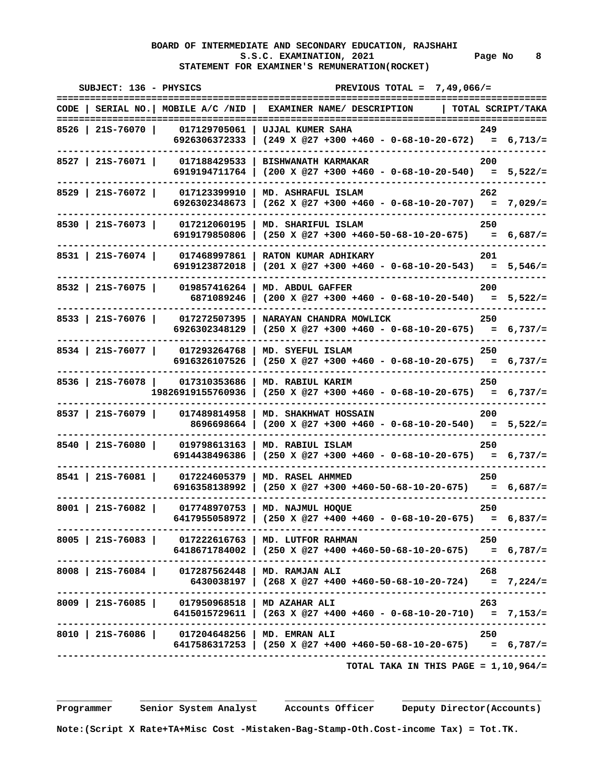# **BOARD OF INTERMEDIATE AND SECONDARY EDUCATION, RAJSHAHI**  S.S.C. EXAMINATION, 2021 **Page No** 8  **STATEMENT FOR EXAMINER'S REMUNERATION(ROCKET)**

| SUBJECT: 136 - PHYSICS |                                                                           | PREVIOUS TOTAL = $7,49,066/$ =                                                                                         |                    |
|------------------------|---------------------------------------------------------------------------|------------------------------------------------------------------------------------------------------------------------|--------------------|
|                        |                                                                           | CODE   SERIAL NO.   MOBILE A/C /NID   EXAMINER NAME/ DESCRIPTION   TOTAL SCRIPT/TAKA                                   |                    |
| 8526   21S-76070       | 017129705061  <br>6926306372333                                           | UJJAL KUMER SAHA<br>$(249 \times @27 +300 +460 - 0-68-10-20-672) = 6,713/=$                                            | -249               |
| $8527$   21S-76071     | 017188429533<br>6919194711764                                             | <b>BISHWANATH KARMAKAR</b><br>$(200 \t X \t @27 +300 +460 - 0-68-10-20-540) = 5,522/=$                                 | 200                |
| 8529   215-76072       | 017123399910<br>6926302348673                                             | MD. ASHRAFUL ISLAM<br>$(262 \t X \t 27 + 300 + 460 - 0 - 68 - 10 - 20 - 707) = 7,029/=$                                | 262                |
| 8530   215-76073       | 017212060195<br>6919179850806                                             | MD. SHARIFUL ISLAM<br>$(250 \t X \t 27 +300 +460-50-68-10-20-675) = 6,687/=$                                           | - 250              |
| 8531   21S-76074       | 017468997861<br>6919123872018                                             | RATON KUMAR ADHIKARY<br>$(201 \times @27 +300 +460 - 0-68-10-20-543) = 5,546/=$                                        | 201                |
| 8532   215-76075       | 019857416264<br>6871089246                                                | MD. ABDUL GAFFER<br>$(200 \t X \t @27 +300 +460 - 0-68-10-20-540) = 5,522/=$                                           | 200                |
| $8533$   21S-76076     | 017272507395<br>6926302348129                                             | NARAYAN CHANDRA MOWLICK<br>$(250 \t X \t @27 +300 +460 - 0-68-10-20-675) = 6,737/=$                                    | 250                |
| 8534   215-76077       | 017293264768<br>6916326107526                                             | MD. SYEFUL ISLAM<br>$(250 \t X \t 27 +300 +460 - 0 -68 -10 - 20 -675) = 6,737/=$                                       | 250                |
|                        | 8536   21S-76078   017310353686<br>19826919155760936                      | MD. RABIUL KARIM<br>$(250 \t X \t 27 + 300 + 460 - 0 - 68 - 10 - 20 - 675) = 6,737/=$                                  | 250                |
| $8537$   215-76079     | 017489814958<br>8696698664                                                | MD. SHAKHWAT HOSSAIN<br>$(200 \t X \t 27 +300 +460 - 0 -68 -10 - 20 -540) = 5,522/=$                                   | 200                |
| 8540   21S-76080       | 019798613163<br>6914438496386                                             | MD. RABIUL ISLAM<br>$(250 \t X \t 27 +300 +460 - 0 -68 -10 - 20 -675) = 6,737/=$                                       | 250                |
| 8541   21S-76081       | 017224605379<br>6916358138992                                             | MD. RASEL AHMMED<br>$(250 \t X \t 27 + 300 + 460 - 50 - 68 - 10 - 20 - 675) = 6,687/=$                                 | 250                |
| $8001$   21S-76082     | 017748970753<br>6417955058972                                             | MD. NAJMUL HOQUE<br>$(250 \t X @27 +400 +460 - 0-68-10-20-675)$                                                        | 250<br>$= 6,837/=$ |
|                        |                                                                           | 8005   21S-76083   017222616763   MD. LUTFOR RAHMAN<br>6418671784002   (250 X @27 +400 +460-50-68-10-20-675) = 6,787/= | - 250              |
|                        | 8008   21S-76084   017287562448   MD. RAMJAN ALI                          | 6430038197   (268 X @27 +400 +460-50-68-10-20-724) = 7,224/=                                                           | 268                |
|                        | 8009   21S-76085   017950968518   MD AZAHAR ALI                           | 6415015729611   (263 X @27 +400 +460 - 0-68-10-20-710) = 7,153/=                                                       | 263                |
|                        | ----------------------<br>8010   21S-76086   017204648256   MD. EMRAN ALI | $6417586317253$ $(250 \t{X} @27 +400 +460-50-68-10-20-675)$ = 6,787/=                                                  | - 250              |
|                        |                                                                           | TOTAL TAKA IN THIS PAGE = $1,10,964/$ =                                                                                |                    |

 **\_\_\_\_\_\_\_\_\_\_ \_\_\_\_\_\_\_\_\_\_\_\_\_\_\_\_\_\_\_\_\_ \_\_\_\_\_\_\_\_\_\_\_\_\_\_\_\_ \_\_\_\_\_\_\_\_\_\_\_\_\_\_\_\_\_\_\_\_\_\_\_\_\_** 

 **Programmer Senior System Analyst Accounts Officer Deputy Director(Accounts)** 

 **Note:(Script X Rate+TA+Misc Cost -Mistaken-Bag-Stamp-Oth.Cost-income Tax) = Tot.TK.**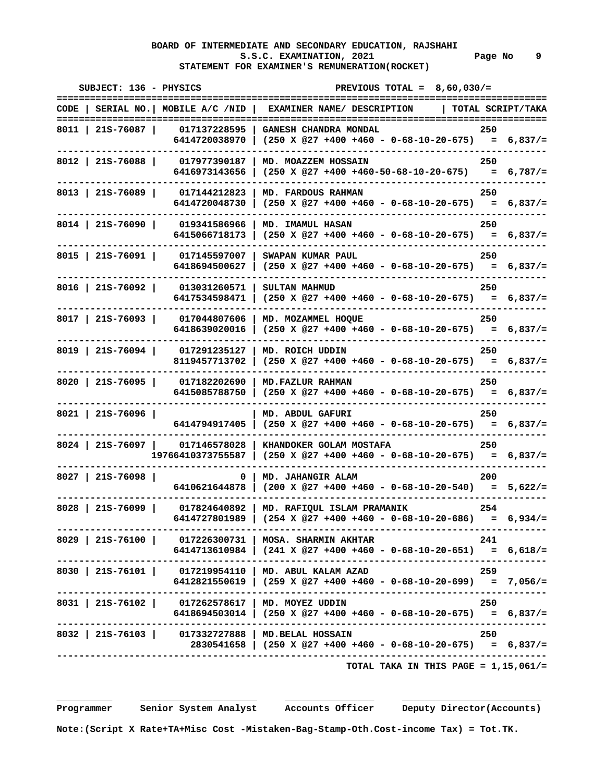# **BOARD OF INTERMEDIATE AND SECONDARY EDUCATION, RAJSHAHI**  S.S.C. EXAMINATION, 2021 **Page No** 9  **STATEMENT FOR EXAMINER'S REMUNERATION(ROCKET)**

| SUBJECT: 136 - PHYSICS<br>========================= | =============                                                     | PREVIOUS TOTAL = $8,60,030/$ =                                                                                                       |     |
|-----------------------------------------------------|-------------------------------------------------------------------|--------------------------------------------------------------------------------------------------------------------------------------|-----|
|                                                     |                                                                   | CODE   SERIAL NO.   MOBILE A/C /NID   EXAMINER NAME/ DESCRIPTION   TOTAL SCRIPT/TAKA                                                 |     |
| 8011   21S-76087                                    |                                                                   | 017137228595   GANESH CHANDRA MONDAL<br>6414720038970   (250 X @27 +400 +460 - 0-68-10-20-675) = 6,837/=                             | 250 |
|                                                     | 8012   21S-76088   017977390187                                   | MD. MOAZZEM HOSSAIN<br>6416973143656 (250 X @27 +400 +460-50-68-10-20-675) = 6,787/=                                                 | 250 |
|                                                     | ---------                                                         | 8013   21S-76089   017144212823   MD. FARDOUS RAHMAN<br>6414720048730 (250 X @27 +400 +460 - 0-68-10-20-675) = 6,837/=               | 250 |
|                                                     |                                                                   | 8014   215-76090   019341586966   MD. IMAMUL HASAN<br>6415066718173   (250 X @27 +400 +460 - 0-68-10-20-675) = 6,837/=               | 250 |
| 8015   21S-76091                                    | 017145597007                                                      | SWAPAN KUMAR PAUL<br>6418694500627   $(250 \times @27 +400 +460 - 0-68-10-20-675) = 6,837/=$                                         | 250 |
|                                                     | 8016   21S-76092   013031260571   SULTAN MAHMUD<br>-------------- | 6417534598471   $(250 \t{X} @27 +400 +460 - 0-68-10-20-675) = 6,837/=$                                                               | 250 |
|                                                     |                                                                   | 8017   21S-76093   017044807606   MD. MOZAMMEL HOQUE<br>6418639020016   (250 X @27 +400 +460 - 0-68-10-20-675) = 6,837/=             | 250 |
|                                                     | 8019   21S-76094   017291235127   MD. ROICH UDDIN                 | 8119457713702   (250 X @27 +400 +460 - 0-68-10-20-675) = 6,837/=                                                                     | 250 |
|                                                     |                                                                   | 8020   21S-76095   017182202690   MD.FAZLUR RAHMAN<br>6415085788750 (250 X @27 +400 +460 - 0-68-10-20-675) = 6,837/=                 | 250 |
| $8021$   215-76096                                  |                                                                   | MD. ABDUL GAFURI<br>6414794917405   (250 X @27 +400 +460 - 0-68-10-20-675) = 6,837/=                                                 | 250 |
|                                                     |                                                                   | 8024   215-76097   017146578028   KHANDOKER GOLAM MOSTAFA<br>$19766410373755587$   (250 X @27 +400 +460 - 0-68-10-20-675) = 6,837/=  | 250 |
| $8027$   21S-76098                                  |                                                                   | 0   MD. JAHANGIR ALAM<br>6410621644878   (200 X @27 +400 +460 - 0-68-10-20-540) = $5,622/$ =                                         | 200 |
|                                                     |                                                                   | 8028   21S-76099   017824640892   MD. RAFIQUL ISLAM PRAMANIK 254<br>6414727801989   (254 X @27 +400 +460 - 0-68-10-20-686) = 6,934/= |     |
|                                                     |                                                                   | 8029   21S-76100   017226300731   MOSA. SHARMIN AKHTAR<br>$6414713610984$   (241 X @27 +400 +460 - 0-68-10-20-651) = 6,618/=         | 241 |
|                                                     |                                                                   | 8030   215-76101   017219954110   MD. ABUL KALAM AZAD<br>6412821550619   (259 X @27 +400 +460 - 0-68-10-20-699) = 7,056/=            | 259 |
|                                                     |                                                                   | 8031   215-76102   017262578617   MD. MOYEZ UDDIN<br>6418694503014   (250 X @27 +400 +460 - 0-68-10-20-675) = 6,837/=                | 250 |
|                                                     |                                                                   | 8032   21S-76103   017332727888   MD. BELAL HOSSAIN<br>2830541658   (250 X @27 +400 +460 - 0-68-10-20-675) = 6,837/=                 | 250 |
|                                                     |                                                                   | TOTAL TAKA IN THIS PAGE = $1,15,061/$ =                                                                                              |     |

 **Programmer Senior System Analyst Accounts Officer Deputy Director(Accounts)**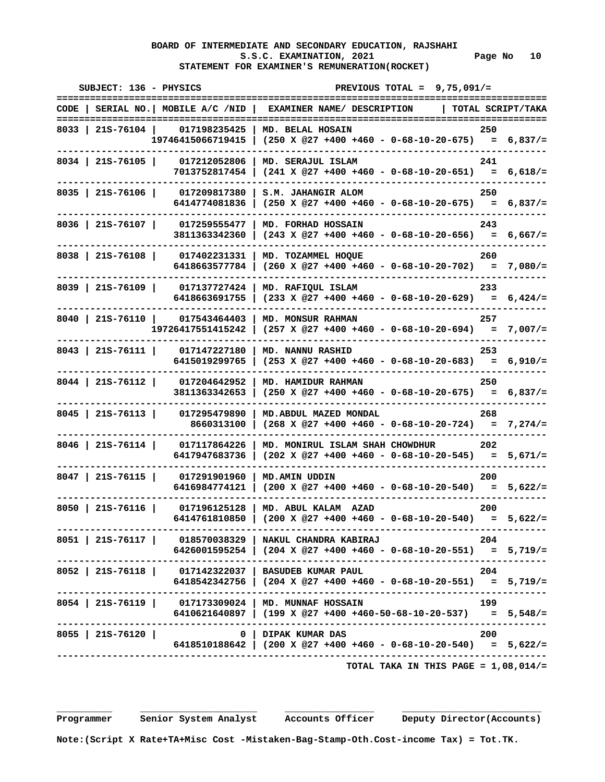## **BOARD OF INTERMEDIATE AND SECONDARY EDUCATION, RAJSHAHI S.S.C. EXAMINATION, 2021 Page No 10 STATEMENT FOR EXAMINER'S REMUNERATION(ROCKET)**

| SUBJECT: 136 - PHYSICS                                                      | PREVIOUS TOTAL = $9,75,091/$ =                                                                             |                                     |
|-----------------------------------------------------------------------------|------------------------------------------------------------------------------------------------------------|-------------------------------------|
| $CODE$   SERIAL NO.   MOBILE A/C /NID                                       | EXAMINER NAME/ DESCRIPTION                                                                                 | ============<br>  TOTAL SCRIPT/TAKA |
| 8033   215-76104   017198235425                                             | MD. BELAL HOSAIN<br>$19746415066719415$ (250 X @27 +400 +460 - 0-68-10-20-675) = 6,837/=                   | 250                                 |
| 8034   21S-76105  <br>017212052806<br>7013752817454                         | MD. SERAJUL ISLAM<br>$(241 \t X \t @27 +400 +460 - 0-68-10-20-651) = 6,618/=$                              | 241                                 |
| 8035   21S-76106  <br>017209817380 1<br>6414774081836                       | S.M. JAHANGIR ALOM<br>$(250 \times 27 + 400 + 460 - 0 - 68 - 10 - 20 - 675) = 6,837/=$                     | 250                                 |
| 8036 215-76107<br>017259555477<br>3811363342360                             | MD. FORHAD HOSSAIN<br>$(243 \t X \t 27 + 400 + 460 - 0 - 68 - 10 - 20 - 656) = 6,667/=$                    | 243                                 |
| 8038   21S-76108   017402231331<br>6418663577784                            | MD. TOZAMMEL HOOUE<br>$(260 \t X \t 27 + 400 + 460 - 0 - 68 - 10 - 20 - 702) = 7,080/=$                    | 260                                 |
| 8039   215-76109   017137727424  <br>6418663691755                          | MD. RAFIQUL ISLAM<br>$(233 \t X \t 27 + 400 + 460 - 0 - 68 - 10 - 20 - 629) = 6,424/=$                     | 233                                 |
| 8040   215-76110   017543464403<br>19726417551415242                        | <b>MD. MONSUR RAHMAN</b><br>$(257 \times @27 +400 +460 - 0-68-10-20-694) = 7,007/=$                        | 257                                 |
| $8043$   21S-76111  <br>017147227180<br>6415019299765                       | <b>MD. NANNU RASHID</b><br>$(253 \t X \t 27 + 400 + 460 - 0 - 68 - 10 - 20 - 683) = 6,910/$                | 253                                 |
| 8044   21S-76112   017204642952<br>3811363342653                            | MD. HAMIDUR RAHMAN<br>$(250 \t X \t 27 + 400 + 460 - 0 - 68 - 10 - 20 - 675) = 6,837/=$                    | 250                                 |
| $8045$   21S-76113  <br>017295479890<br>8660313100                          | MD. ABDUL MAZED MONDAL<br>$(268 \t X \t @27 +400 +460 - 0-68-10-20-724) = 7,274/=$                         | 268                                 |
| 8046   215-76114  <br>017117864226<br>6417947683736                         | MD. MONIRUL ISLAM SHAH CHOWDHUR<br>$(202 \t X \t 27 + 400 + 460 - 0 - 68 - 10 - 20 - 545) = 5,671/=$       | 202                                 |
| $8047$   21S-76115  <br>017291901960<br>6416984774121                       | <b>MD.AMIN UDDIN</b><br>$(200 \times 27 + 400 + 460 - 0 - 68 - 10 - 20 - 540) = 5,622/=$                   | 200                                 |
| $8050$   21S-76116  <br>017196125128<br>6414761810850                       | MD. ABUL KALAM AZAD<br>$(200 \t X \t 27 + 400 + 460 - 0 - 68 - 10 - 20 - 540) = 5,622/=$                   | 200                                 |
| 8051   21S-76117   018570038329   NAKUL CHANDRA KABIRAJ                     | .-----------------------------------<br>$6426001595254$   (204 X @27 +400 +460 - 0-68-10-20-551) = 5,719/= | - 204                               |
| 8052   21S-76118   017142322037   BASUDEB KUMAR PAUL                        | 6418542342756   (204 X @27 +400 +460 - 0-68-10-20-551) = 5,719/=                                           | 204                                 |
| 8054   21S-76119   017173309024   MD. MUNNAF HOSSAIN<br>------------------- | 6410621640897   (199 X @27 +400 +460-50-68-10-20-537) = $5,548/$                                           | 199                                 |
| 8055   21S-76120                                                            | 0   DIPAK KUMAR DAS<br>6418510188642   (200 X @27 +400 +460 - 0-68-10-20-540) = $5,622/$ =                 | 200                                 |
|                                                                             |                                                                                                            |                                     |

 **TOTAL TAKA IN THIS PAGE = 1,08,014/=**

 **Programmer Senior System Analyst Accounts Officer Deputy Director(Accounts)**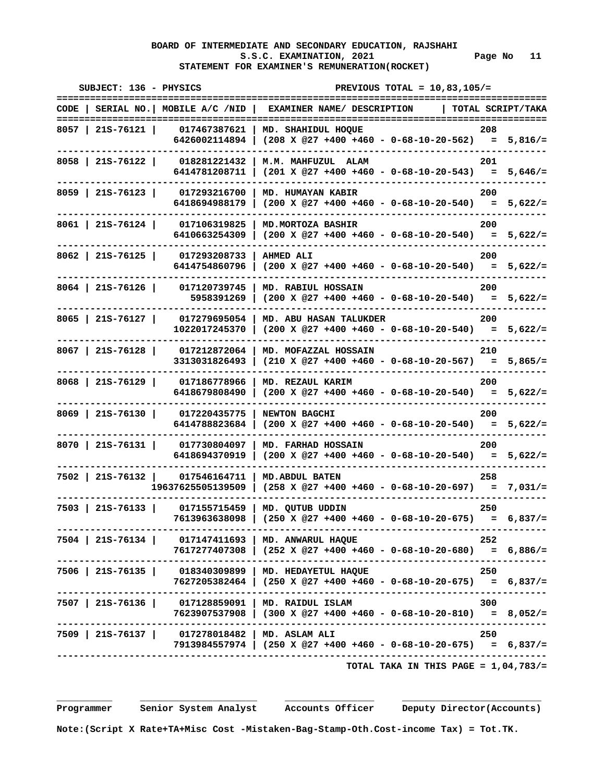# **BOARD OF INTERMEDIATE AND SECONDARY EDUCATION, RAJSHAHI**  S.S.C. EXAMINATION, 2021 Page No 11  **STATEMENT FOR EXAMINER'S REMUNERATION(ROCKET)**

| SUBJECT: 136 - PHYSICS                                           |                                                                                                            |                                                                   | PREVIOUS TOTAL = $10,83,105/$ =         |     |                                   |
|------------------------------------------------------------------|------------------------------------------------------------------------------------------------------------|-------------------------------------------------------------------|-----------------------------------------|-----|-----------------------------------|
| =======================<br>$CODE$   SERIAL NO.   MOBILE A/C /NID | ==============                                                                                             | ;================================<br>EXAMINER NAME/ DESCRIPTION   |                                         |     | ============<br>TOTAL SCRIPT/TAKA |
| -----------------------------------<br>8057   21S-76121          | 017467387621                                                                                               | MD. SHAHIDUL HOQUE                                                |                                         | 208 |                                   |
|                                                                  | 6426002114894   (208 X @27 +400 +460 - 0-68-10-20-562) = $5,816/$ =                                        |                                                                   |                                         |     |                                   |
| $8058$   21S-76122                                               | 018281221432                                                                                               | M.M. MAHFUZUL ALAM                                                |                                         | 201 |                                   |
|                                                                  | 6414781208711                                                                                              | $(201 \times @27 +400 +460 - 0-68-10-20-543) = 5,646/=$           |                                         |     |                                   |
| 8059   21S-76123                                                 | 017293216700                                                                                               | MD. HUMAYAN KABIR                                                 |                                         | 200 |                                   |
|                                                                  | 6418694988179                                                                                              | $(200 \t X \t 27 + 400 + 460 - 0 - 68 - 10 - 20 - 540) = 5,622/=$ |                                         |     |                                   |
| 8061   21S-76124                                                 | 017106319825                                                                                               | MD. MORTOZA BASHIR                                                |                                         | 200 |                                   |
|                                                                  | 6410663254309                                                                                              | $(200 \t X \t 27 + 400 + 460 - 0 - 68 - 10 - 20 - 540) = 5,622/=$ |                                         |     |                                   |
| $8062$   215-76125                                               | 017293208733<br><b>AHMED ALI</b>                                                                           |                                                                   |                                         | 200 |                                   |
|                                                                  | 6414754860796                                                                                              | $(200 \t X \t 27 + 400 + 460 - 0 - 68 - 10 - 20 - 540) = 5,622/=$ |                                         |     |                                   |
| 8064   21S-76126                                                 | 017120739745                                                                                               | MD. RABIUL HOSSAIN                                                |                                         | 200 |                                   |
|                                                                  | 5958391269                                                                                                 | $(200 \t X \t 27 + 400 + 460 - 0 - 68 - 10 - 20 - 540) = 5,622/=$ |                                         |     |                                   |
| $8065$   21S-76127                                               | 017279695054                                                                                               | MD. ABU HASAN TALUKDER                                            |                                         | 200 |                                   |
|                                                                  | 1022017245370                                                                                              | $(200 \t X \t @27 +400 +460 - 0-68-10-20-540) = 5,622/=$          |                                         |     |                                   |
| $8067$   21S-76128                                               | 017212872064                                                                                               | MD. MOFAZZAL HOSSAIN                                              |                                         | 210 |                                   |
|                                                                  | 3313031826493                                                                                              | $(210 \t X \t 27 + 400 + 460 - 0 - 68 - 10 - 20 - 567) = 5,865/=$ |                                         |     |                                   |
| $8068$   215-76129                                               | 017186778966                                                                                               | MD. REZAUL KARIM                                                  |                                         | 200 |                                   |
|                                                                  | 6418679808490                                                                                              | $(200 \t X \t 27 + 400 + 460 - 0 - 68 - 10 - 20 - 540) = 5,622/=$ |                                         |     |                                   |
| $8069$   215-76130                                               | 017220435775<br>NEWTON BAGCHI                                                                              |                                                                   |                                         | 200 |                                   |
|                                                                  | 6414788823684                                                                                              | $(200 \t X \t @27 +400 +460 - 0-68-10-20-540) = 5,622/=$          |                                         |     |                                   |
| $8070$   215-76131                                               | 017730804097                                                                                               | MD. FARHAD HOSSAIN                                                |                                         | 200 |                                   |
|                                                                  | 6418694370919                                                                                              | $(200 \t X \t 27 + 400 + 460 - 0 - 68 - 10 - 20 - 540) = 5,622/=$ |                                         |     |                                   |
| 7502   21S-76132   017546164711                                  | <b>MD. ABDUL BATEN</b>                                                                                     |                                                                   |                                         | 258 |                                   |
| 19637625505139509                                                |                                                                                                            | $(258 \t{X} @27 +400 +460 - 0-68-10-20-697) = 7,031/z$            |                                         |     |                                   |
| $7503$   215-76133                                               | 017155715459   MD. QUTUB UDDIN                                                                             |                                                                   |                                         | 250 |                                   |
|                                                                  | $7613963638098$ (250 X @27 +400 +460 - 0-68-10-20-675) = 6,837/=                                           |                                                                   |                                         |     |                                   |
| 7504   21S-76134   017147411693   MD. ANWARUL HAQUE              | .---------------------------------                                                                         |                                                                   |                                         | 252 |                                   |
|                                                                  | 7617277407308   (252 X @27 +400 +460 - 0-68-10-20-680) = 6,886/=<br>---------------------------------      |                                                                   |                                         |     |                                   |
| 7506   21S-76135   018340309899   MD. HEDAYETUL HAQUE            |                                                                                                            |                                                                   |                                         | 250 |                                   |
|                                                                  | 7627205382464   (250 X @27 +400 +460 - 0-68-10-20-675)   =  6,837/=                                        |                                                                   |                                         |     |                                   |
| 7507   21S-76136   017128859091   MD. RAIDUL ISLAM               |                                                                                                            |                                                                   |                                         | 300 |                                   |
|                                                                  | 7623907537908   (300 X @27 +400 +460 - 0-68-10-20-810) = 8,052/=<br>-------------------------------------- |                                                                   |                                         |     |                                   |
| 7509   21S-76137   017278018482   MD. ASLAM ALI                  |                                                                                                            |                                                                   |                                         | 250 |                                   |
|                                                                  | $7913984557974$   (250 X @27 +400 +460 - 0-68-10-20-675) = 6,837/=                                         |                                                                   |                                         |     |                                   |
|                                                                  |                                                                                                            |                                                                   | TOTAL TAKA IN THIS PAGE = $1,04,783/$ = |     |                                   |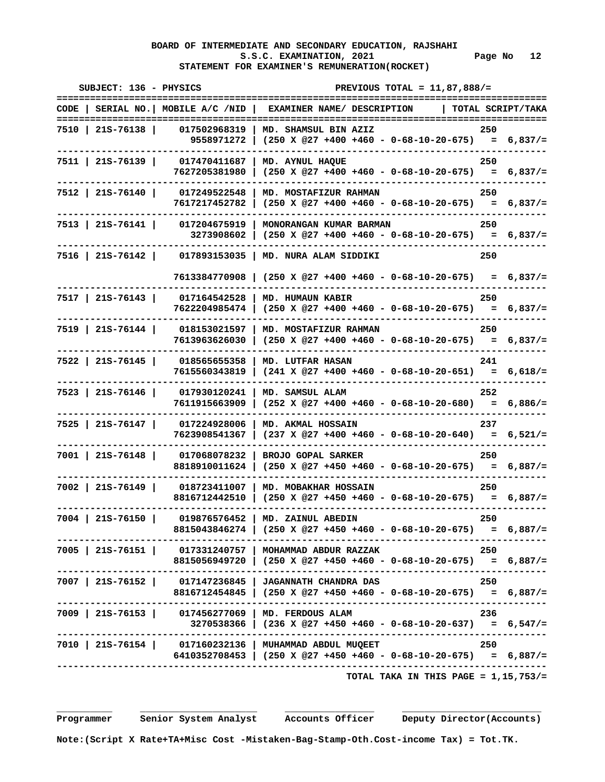## **BOARD OF INTERMEDIATE AND SECONDARY EDUCATION, RAJSHAHI**  S.S.C. EXAMINATION, 2021 Page No 12  **STATEMENT FOR EXAMINER'S REMUNERATION(ROCKET)**

| SUBJECT: 136 - PHYSICS | ==============                  | PREVIOUS TOTAL = $11,87,888/$ =<br>==========                                                                               | :==========       |
|------------------------|---------------------------------|-----------------------------------------------------------------------------------------------------------------------------|-------------------|
|                        |                                 | CODE   SERIAL NO.   MOBILE $A/C$ /NID   EXAMINER NAME/ DESCRIPTION                                                          | TOTAL SCRIPT/TAKA |
| 7510   21S-76138       | 017502968319                    | MD. SHAMSUL BIN AZIZ<br>9558971272   $(250 \times @27 +400 +460 - 0-68-10-20-675) = 6,837/=$                                | 250               |
| 7511   21S-76139       | 017470411687<br>7627205381980   | MD. AYNUL HAQUE<br>$(250 \times @27 +400 +460 - 0-68-10-20-675) = 6,837/=$                                                  | 250               |
| 7512   21S-76140       | 017249522548<br>--------        | MD. MOSTAFIZUR RAHMAN<br>$7617217452782$ (250 X @27 +400 +460 - 0-68-10-20-675) = 6,837/=                                   | 250               |
| 7513   21S-76141       |                                 | 017204675919   MONORANGAN KUMAR BARMAN<br>$3273908602$ (250 X @27 +400 +460 - 0-68-10-20-675) = 6,837/=                     | 250               |
|                        |                                 | 7516   21S-76142   017893153035   MD. NURA ALAM SIDDIKI                                                                     | 250               |
|                        |                                 | $7613384770908$ (250 X @27 +400 +460 - 0-68-10-20-675) = 6,837/=                                                            |                   |
|                        | 7517   21S-76143   017164542528 | <b>MD. HUMAUN KABIR</b><br>$7622204985474$ (250 X @27 +400 +460 - 0-68-10-20-675) = 6,837/=                                 | 250               |
| 7519   21S-76144       |                                 | 018153021597   MD. MOSTAFIZUR RAHMAN<br>7613963626030   (250 X @27 +400 +460 - 0-68-10-20-675) = 6,837/=                    | 250               |
| $7522$   215-76145     | 7615560343819                   | 018565655358   MD. LUTFAR HASAN<br>$(241 \t{X} @27 +400 +460 - 0-68-10-20-651) = 6,618/=$                                   | 241               |
| $7523$   215-76146     |                                 | 017930120241   MD. SAMSUL ALAM<br>$7611915663909$ (252 X @27 +400 +460 - 0-68-10-20-680) = 6,886/=                          | 252               |
| $7525$   21S-76147     | 017224928006<br>7623908541367   | MD. AKMAL HOSSAIN<br>$(237 \t X \t 27 + 400 + 460 - 0 - 68 - 10 - 20 - 640) = 6,521/=$                                      | 237               |
| $7001$   21S-76148     | 017068078232<br>8818910011624   | BROJO GOPAL SARKER                                                                                                          | 250               |
| $7002$   215-76149     | 018723411007  <br>8816712442510 | MD. MOBAKHAR HOSSAIN<br>$(250 \times 27 + 450 + 460 - 0 - 68 - 10 - 20 - 675) = 6,887/=$                                    | 250               |
| 7004   21S-76150       |                                 | 019876576452   MD. ZAINUL ABEDIN<br>8815043846274   (250 X @27 +450 +460 - 0-68-10-20-675) = 6,887/=                        | 250               |
|                        |                                 | 7005   21S-76151   017331240757   MOHAMMAD ABDUR RAZZAK<br>8815056949720   (250 X @27 +450 +460 - 0-68-10-20-675) = 6,887/= | 250               |
|                        |                                 | 7007   21S-76152   017147236845   JAGANNATH CHANDRA DAS<br>8816712454845   (250 X @27 +450 +460 - 0-68-10-20-675) = 6,887/= | 250               |
|                        | ---------------------           | 7009   21S-76153   017456277069   MD. FERDOUS ALAM<br>$3270538366$ $(236 \t{X} @27 +450 +460 - 0-68-10-20-637) = 6,547/=$   | 236               |
|                        | --------------------            | 7010   21S-76154   017160232136   MUHAMMAD ABDUL MUQEET<br>6410352708453   (250 X @27 +450 +460 - 0-68-10-20-675) = 6,887/= | 250               |
|                        |                                 |                                                                                                                             |                   |

 **TOTAL TAKA IN THIS PAGE = 1,15,753/=**

 **Programmer Senior System Analyst Accounts Officer Deputy Director(Accounts)**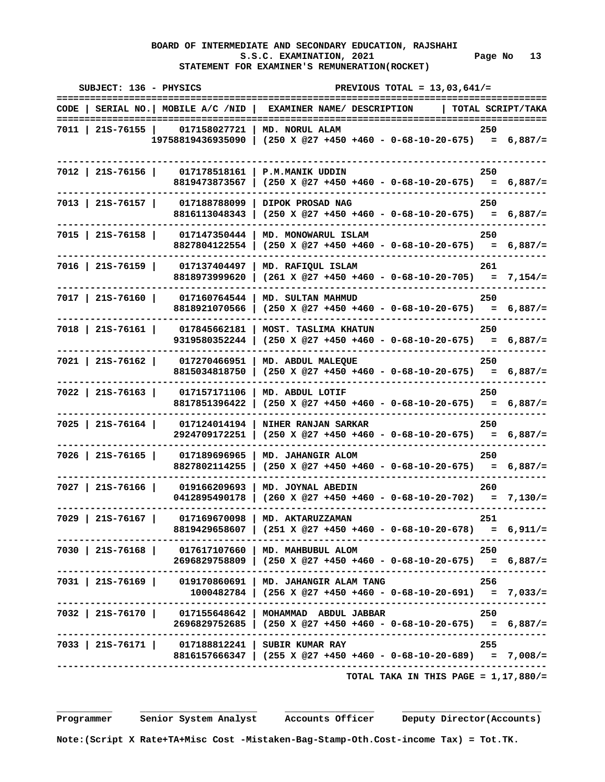## **BOARD OF INTERMEDIATE AND SECONDARY EDUCATION, RAJSHAHI**  S.S.C. EXAMINATION, 2021 **Page No** 13  **STATEMENT FOR EXAMINER'S REMUNERATION(ROCKET)**

| SUBJECT: 136 - PHYSICS                                                               | -----------------------------                                                                                  |                      | PREVIOUS TOTAL = $13,03,641/$ =                                   |     | ============ |
|--------------------------------------------------------------------------------------|----------------------------------------------------------------------------------------------------------------|----------------------|-------------------------------------------------------------------|-----|--------------|
| CODE   SERIAL NO.   MOBILE A/C /NID   EXAMINER NAME/ DESCRIPTION   TOTAL SCRIPT/TAKA |                                                                                                                |                      |                                                                   |     |              |
| 7011   21S-76155                                                                     | 017158027721   MD. NORUL ALAM<br>$19758819436935090$ (250 X @27 +450 +460 - 0-68-10-20-675) = 6,887/=          |                      |                                                                   | 250 |              |
| 7012   21S-76156                                                                     | 017178518161<br><b>P.M.MANIK UDDIN</b><br>8819473873567                                                        |                      | $(250 \t{X} @27 +450 +460 - 0-68-10-20-675) = 6,887/=$            | 250 |              |
| $7013$   21S-76157                                                                   | 017188788099<br>  DIPOK PROSAD NAG<br>8816113048343                                                            |                      | $(250 \t X \t 27 + 450 + 460 - 0 - 68 - 10 - 20 - 675) = 6,887/=$ | 250 |              |
| 7015   21s-76158                                                                     | 017147350444<br>8827804122554                                                                                  | MD. MONOWARUL ISLAM  | $(250 \t X \t 27 + 450 + 460 - 0 - 68 - 10 - 20 - 675) = 6,887/=$ | 250 |              |
| 7016   21S-76159                                                                     | 017137404497<br>MD. RAFIQUL ISLAM<br>8818973999620                                                             |                      | $(261 \t X \t 27 + 450 + 460 - 0 - 68 - 10 - 20 - 705) = 7,154/=$ | 261 |              |
| $7017$   21S-76160                                                                   | 017160764544<br>  MD. SULTAN MAHMUD<br>8818921070566   $(250 \times @27 +450 +460 - 0-68-10-20-675) = 6,887/=$ |                      |                                                                   | 250 |              |
| $7018$   21S-76161                                                                   | 017845662181<br>9319580352244                                                                                  | MOST. TASLIMA KHATUN | $(250 \t{X} @27 +450 +460 - 0-68-10-20-675) = 6,887/=$            | 250 |              |
| $7021$   21S-76162                                                                   | 017270466951<br>MD. ABDUL MALEQUE<br>8815034818750                                                             |                      | $(250 \t X \t 27 + 450 + 460 - 0 - 68 - 10 - 20 - 675) = 6,887/=$ | 250 |              |
| $7022$   21S-76163                                                                   | 017157171106<br>MD. ABDUL LOTIF<br>8817851396422                                                               |                      | $(250 \t X \t 27 + 450 + 460 - 0 - 68 - 10 - 20 - 675) = 6,887/=$ | 250 |              |
| $7025$   21S-76164                                                                   | 017124014194<br>2924709172251                                                                                  | NIHER RANJAN SARKAR  | $(250 \t X \t 27 + 450 + 460 - 0 - 68 - 10 - 20 - 675) = 6,887/=$ | 250 |              |
| 7026   21S-76165                                                                     | 017189696965<br>MD. JAHANGIR ALOM<br>8827802114255                                                             |                      | $(250 \t X \t 27 + 450 + 460 - 0 - 68 - 10 - 20 - 675) = 6,887/=$ | 250 |              |
| $7027$   21S-76166                                                                   | 019166209693   MD. JOYNAL ABEDIN<br>0412895490178                                                              |                      | $(260 \times 27 + 450 + 460 - 0 - 68 - 10 - 20 - 702) = 7,130/=$  | 260 |              |
| 7029   21S-76167                                                                     | 017169670098<br>  MD. AKTARUZZAMAN<br>8819429658607   (251 X @27 +450 +460 - 0-68-10-20-678) = 6,911/=         |                      |                                                                   | 251 |              |
| 7030   21S-76168   017617107660   MD. MAHBUBUL ALOM                                  | $2696829758809$ (250 X @27 +450 +460 - 0-68-10-20-675) = 6,887/=                                               |                      |                                                                   | 250 |              |
| 7031   21S-76169   019170860691   MD. JAHANGIR ALAM TANG                             | $1000482784$   (256 X @27 +450 +460 - 0-68-10-20-691) = 7,033/=                                                |                      |                                                                   | 256 |              |
| 7032   21S-76170   017155648642   MOHAMMAD ABDUL JABBAR                              | $2696829752685$   $(250 \t{X} @27 +450 +460 - 0-68-10-20-675) = 6,887/=$                                       |                      |                                                                   | 250 |              |
| 7033   21S-76171   017188812241   SUBIR KUMAR RAY                                    | 8816157666347   (255 X @27 +450 +460 - 0-68-10-20-689) = 7,008/=                                               |                      |                                                                   | 255 |              |
|                                                                                      |                                                                                                                |                      | TOTAL TAKA IN THIS PAGE = $1,17,880/$ =                           |     |              |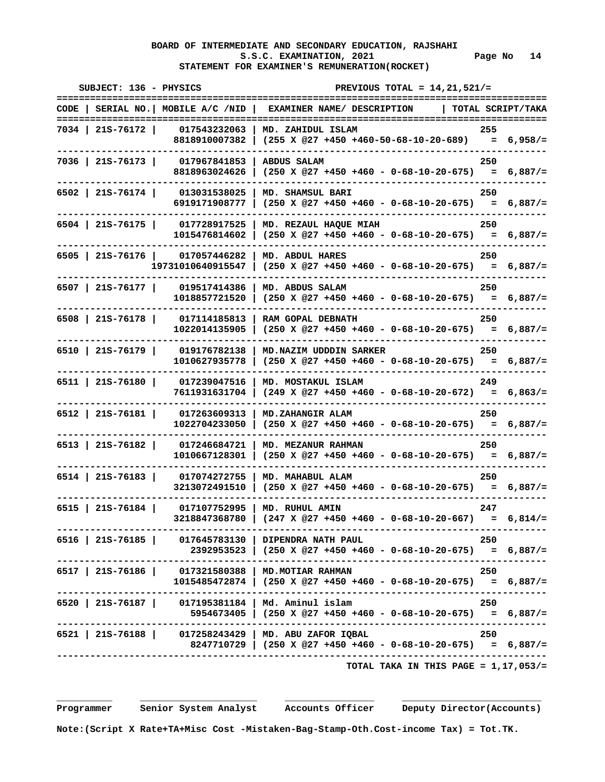# **BOARD OF INTERMEDIATE AND SECONDARY EDUCATION, RAJSHAHI**  S.S.C. EXAMINATION, 2021 Page No 14  **STATEMENT FOR EXAMINER'S REMUNERATION(ROCKET)**

| SUBJECT: 136 - PHYSICS                                  |              | PREVIOUS TOTAL = $14, 21, 521/$ =<br>============                                                                          |       |  |  |
|---------------------------------------------------------|--------------|----------------------------------------------------------------------------------------------------------------------------|-------|--|--|
|                                                         |              | CODE   SERIAL NO.   MOBILE A/C /NID   EXAMINER NAME/ DESCRIPTION   TOTAL SCRIPT/TAKA                                       |       |  |  |
| 7034   21S-76172                                        |              | 017543232063   MD. ZAHIDUL ISLAM<br>8818910007382   $(255 \t{X} @27 +450 +460-50-68-10-20-689) = 6,958/=$                  | 255   |  |  |
| 7036   21S-76173                                        | 017967841853 | <b>ABDUS SALAM</b><br>8818963024626   (250 X @27 +450 +460 - 0-68-10-20-675) = 6,887/=                                     | 250   |  |  |
| 6502   21S-76174   013031538025   MD. SHAMSUL BARI      |              | 6919171908777   $(250 \times @27 +450 +460 - 0-68-10-20-675) = 6,887/=$                                                    | 250   |  |  |
| 6504   21S-76175   017728917525   MD. REZAUL HAQUE MIAH |              | $1015476814602$   (250 X @27 +450 +460 - 0-68-10-20-675) = 6,887/=                                                         | 250   |  |  |
| 6505   21S-76176   017057446282   MD. ABDUL HARES       |              | $19731010640915547$   (250 X @27 +450 +460 - 0-68-10-20-675) = 6,887/=                                                     | 250   |  |  |
| $6507$   21S-76177                                      |              | 019517414386   MD. ABDUS SALAM<br>$1018857721520$ (250 X @27 +450 +460 - 0-68-10-20-675) = 6,887/=                         | 250   |  |  |
| 6508   21S-76178   017114185813   RAM GOPAL DEBNATH     |              | $1022014135905$ (250 X @27 +450 +460 - 0-68-10-20-675) = 6,887/=                                                           | 250   |  |  |
| 6510   21s-76179                                        |              | 019176782138   MD.NAZIM UDDDIN SARKER<br>$1010627935778$   $(250 \t{X} @27 +450 +460 - 0-68-10-20-675) = 6,887/=$          | 250   |  |  |
| $6511$   21S-76180                                      |              | 017239047516   MD. MOSTAKUL ISLAM<br>$7611931631704$ (249 X @27 +450 +460 - 0-68-10-20-672) = 6,863/=                      | 249   |  |  |
| $6512$   21S-76181                                      |              | 017263609313   MD.ZAHANGIR ALAM<br>$1022704233050$ (250 X @27 +450 +460 - 0-68-10-20-675) = 6,887/=                        | 250   |  |  |
| $6513$   21S-76182                                      |              | 017246684721   MD. MEZANUR RAHMAN<br>$1010667128301$ (250 X @27 +450 +460 - 0-68-10-20-675) = 6,887/=                      | 250   |  |  |
| $6514$   21S-76183                                      |              | 017074272755   MD. MAHABUL ALAM<br>3213072491510 (250 X @27 +450 +460 - 0-68-10-20-675) = 6,887/=                          | 250   |  |  |
| $6515$   21S-76184                                      |              | 017107752995   MD. RUHUL AMIN<br>$3218847368780$ (247 X @27 +450 +460 - 0-68-10-20-667) = 6,814/=                          | 247   |  |  |
| 6516   21S-76185   017645783130   DIPENDRA NATH PAUL    |              | 2392953523   $(250 \times @27 +450 +460 - 0-68-10-20-675) = 6,887/=$                                                       | - 250 |  |  |
|                                                         |              | 6517   215-76186   017321580388   MD.MOTIAR RAHMAN 250<br>1015485472874   (250 x @27 +450 +460 - 0-68-10-20-675) = 6,887/= |       |  |  |
| 6520   21S-76187   017195381184   Md. Aminul islam      |              | $5954673405$ (250 X @27 +450 +460 - 0-68-10-20-675) = 6,887/=                                                              | 250   |  |  |
| 6521   21S-76188   017258243429   MD. ABU ZAFOR IQBAL   |              | -------------------------------<br>8247710729   (250 X @27 +450 +460 - 0-68-10-20-675) = 6,887/=                           | 250   |  |  |
|                                                         |              | TOTAL TAKA IN THIS PAGE = $1,17,053/$ =                                                                                    |       |  |  |

 **\_\_\_\_\_\_\_\_\_\_ \_\_\_\_\_\_\_\_\_\_\_\_\_\_\_\_\_\_\_\_\_ \_\_\_\_\_\_\_\_\_\_\_\_\_\_\_\_ \_\_\_\_\_\_\_\_\_\_\_\_\_\_\_\_\_\_\_\_\_\_\_\_\_** 

 **Programmer Senior System Analyst Accounts Officer Deputy Director(Accounts)** 

 **Note:(Script X Rate+TA+Misc Cost -Mistaken-Bag-Stamp-Oth.Cost-income Tax) = Tot.TK.**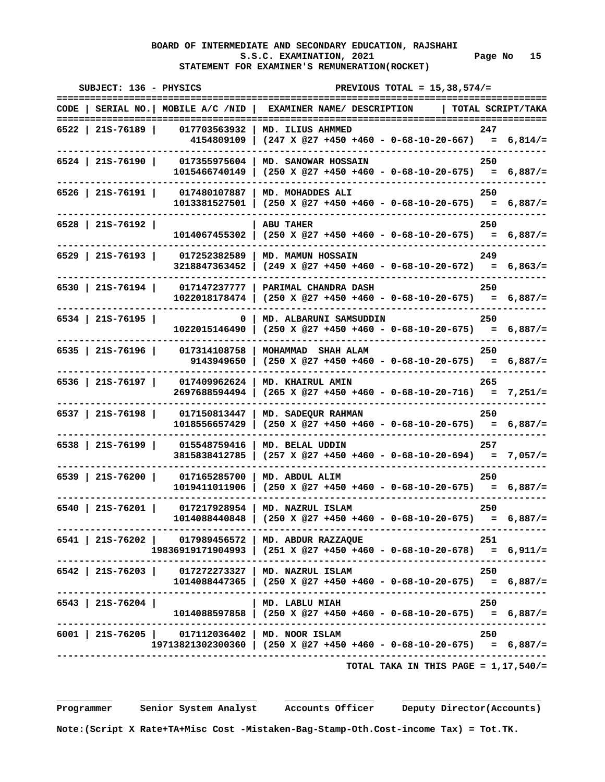# **BOARD OF INTERMEDIATE AND SECONDARY EDUCATION, RAJSHAHI**  S.S.C. EXAMINATION, 2021 Page No 15  **STATEMENT FOR EXAMINER'S REMUNERATION(ROCKET)**

| SUBJECT: 136 - PHYSICS |                                                  | PREVIOUS TOTAL = $15,38,574/$ =                                                                                              |                   |
|------------------------|--------------------------------------------------|------------------------------------------------------------------------------------------------------------------------------|-------------------|
|                        |                                                  | CODE   SERIAL NO.   MOBILE A/C /NID   EXAMINER NAME/ DESCRIPTION                                                             | TOTAL SCRIPT/TAKA |
| 6522 215-76189         |                                                  | 017703563932   MD. ILIUS AHMMED<br>4154809109   $(247 \times @27 +450 +460 - 0-68-10-20-667) = 6,814/=$                      | 247               |
|                        |                                                  | 6524   21S-76190   017355975604   MD. SANOWAR HOSSAIN<br>$1015466740149$ (250 X @27 +450 +460 - 0-68-10-20-675) = 6,887/=    | 250               |
|                        |                                                  | 6526   21S-76191   017480107887   MD. MOHADDES ALI<br>$1013381527501$ (250 X @27 +450 +460 - 0-68-10-20-675) = 6,887/=       | 250               |
| 6528   21S-76192       |                                                  | <b>ABU TAHER</b><br>$1014067455302$   (250 X @27 +450 +460 - 0-68-10-20-675) = 6,887/=                                       | 250               |
|                        |                                                  | 6529   21S-76193   017252382589   MD. MAMUN HOSSAIN<br>$3218847363452$ (249 X @27 +450 +460 - 0-68-10-20-672) = 6,863/=      | 249               |
| 6530 215-76194         |                                                  | 017147237777   PARIMAL CHANDRA DASH<br>$1022018178474$ (250 X @27 +450 +460 - 0-68-10-20-675) = 6,887/=                      | 250               |
| $6534$   21S-76195     |                                                  | 0   MD. ALBARUNI SAMSUDDIN<br>$1022015146490$   (250 X @27 +450 +460 - 0-68-10-20-675) = 6,887/=                             | 250               |
| $6535$   21S-76196     |                                                  | 017314108758   MOHAMMAD SHAH ALAM<br>9143949650   $(250 \times 0.27 + 450 + 460 - 0 - 68 - 10 - 20 - 675) = 6,887/=$         | 250               |
|                        |                                                  | 6536   21S-76197   017409962624   MD. KHAIRUL AMIN<br>$2697688594494$ (265 X @27 +450 +460 - 0-68-10-20-716) = 7,251/=       | 265               |
|                        |                                                  | 6537   21S-76198   017150813447   MD. SADEQUR RAHMAN<br>$1018556657429$   (250 X @27 +450 +460 - 0-68-10-20-675) = 6,887/=   | 250               |
| $6538$   21S-76199     |                                                  | 015548759416   MD. BELAL UDDIN<br>3815838412785   $(257 \times @27 +450 +460 - 0-68-10-20-694) = 7,057/=$                    | 257               |
|                        | 6539   21S-76200   017165285700   MD. ABDUL ALIM | $1019411011906$ (250 X @27 +450 +460 - 0-68-10-20-675) = 6,887/=                                                             | 250               |
| $6540$   21S-76201     |                                                  | 017217928954   MD. NAZRUL ISLAM<br>$1014088440848$ (250 X @27 +450 +460 - 0-68-10-20-675) = 6,887/=                          | 250               |
|                        |                                                  | 6541   21S-76202   017989456572   MD. ABDUR RAZZAQUE<br>$19836919171904993$ (251 X @27 +450 +460 - 0-68-10-20-678) = 6,911/= | 251               |
|                        |                                                  | 6542   21S-76203   017272273327   MD. NAZRUL ISLAM<br>1014088447365   (250 X @27 +450 +460 - 0-68-10-20-675) = 6,887/=       | 250               |
| $6543$   21S-76204     |                                                  | MD. LABLU MIAH<br>$1014088597858$   $(250 \t{X} @27 +450 +460 - 0-68-10-20-675) = 6,887/=$                                   | 250               |
|                        | 6001   21S-76205   017112036402   MD. NOOR ISLAM | -------------------------------------<br>$19713821302300360$ (250 X @27 +450 +460 - 0-68-10-20-675) = 6,887/=                | 250               |
|                        |                                                  | TOTAL TAKA IN THIS PAGE = $1,17,540/$ =                                                                                      |                   |

 **Programmer Senior System Analyst Accounts Officer Deputy Director(Accounts)** 

 **Note:(Script X Rate+TA+Misc Cost -Mistaken-Bag-Stamp-Oth.Cost-income Tax) = Tot.TK.**